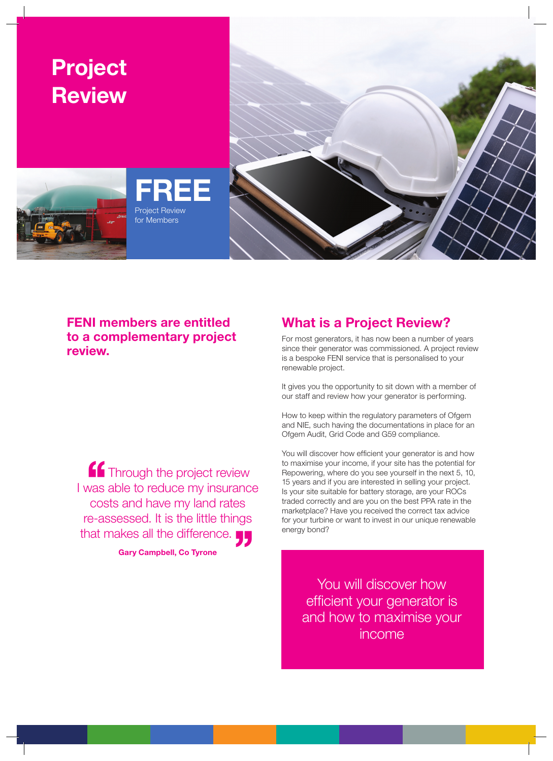

## **FENI members are entitled to a complementary project review.**

**''**Through the project review I was able to reduce my insurance costs and have my land rates re-assessed. It is the little things that makes all the difference.

**Gary Campbell, Co Tyrone**

## **What is a Project Review?**

For most generators, it has now been a number of years since their generator was commissioned. A project review is a bespoke FENI service that is personalised to your renewable project.

It gives you the opportunity to sit down with a member of our staff and review how your generator is performing.

How to keep within the regulatory parameters of Ofgem and NIE, such having the documentations in place for an Ofgem Audit, Grid Code and G59 compliance.

You will discover how efficient your generator is and how to maximise your income, if your site has the potential for Repowering, where do you see yourself in the next 5, 10, 15 years and if you are interested in selling your project. Is your site suitable for battery storage, are your ROCs traded correctly and are you on the best PPA rate in the marketplace? Have you received the correct tax advice for your turbine or want to invest in our unique renewable energy bond?

> You will discover how efficient your generator is and how to maximise your income